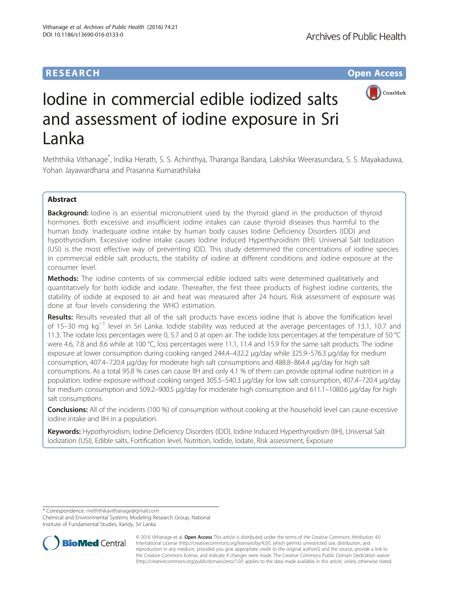# **RESEARCH RESEARCH** *CHECK <b>CHECK*



# Iodine in commercial edible iodized salts and assessment of iodine exposure in Sri Lanka

Meththika Vithanage\* , Indika Herath, S. S. Achinthya, Tharanga Bandara, Lakshika Weerasundara, S. S. Mayakaduwa, Yohan Jayawardhana and Prasanna Kumarathilaka

# Abstract

Background: lodine is an essential micronutrient used by the thyroid gland in the production of thyroid hormones. Both excessive and insufficient iodine intakes can cause thyroid diseases thus harmful to the human body. Inadequate iodine intake by human body causes Iodine Deficiency Disorders (IDD) and hypothyroidism. Excessive iodine intake causes Iodine Induced Hyperthyroidism (IIH). Universal Salt Iodization (USI) is the most effective way of preventing IDD. This study determined the concentrations of iodine species in commercial edible salt products, the stability of iodine at different conditions and iodine exposure at the consumer level.

Methods: The iodine contents of six commercial edible iodized salts were determined qualitatively and quantitatively for both iodide and iodate. Thereafter, the first three products of highest iodine contents, the stability of iodide at exposed to air and heat was measured after 24 hours. Risk assessment of exposure was done at four levels considering the WHO estimation.

Results: Results revealed that all of the salt products have excess iodine that is above the fortification level of 15–30 mg kg−<sup>1</sup> level in Sri Lanka. Iodide stability was reduced at the average percentages of 13.1, 10.7 and 11.3. The iodate loss percentages were 0, 5.7 and 0 at open air. The iodide loss percentages at the temperature of 50 °C were 4.6, 7.8 and 8.6 while at 100 °C, loss percentages were 11.1, 11.4 and 15.9 for the same salt products. The iodine exposure at lower consumption during cooking ranged 244.4–432.2 μg/day while 325.9–576.3 μg/day for medium consumption, 407.4–720.4 μg/day for moderate high salt consumptions and 488.8–864.4 μg/day for high salt consumptions. As a total 95.8 % cases can cause IIH and only 4.1 % of them can provide optimal iodine nutrition in a population. Iodine exposure without cooking ranged 305.5–540.3 μg/day for low salt consumption, 407.4–720.4 μg/day for medium consumption and 509.2–900.5 μg/day for moderate high consumption and 611.1–1080.6 μg/day for high salt consumptions.

**Conclusions:** All of the incidents (100 %) of consumption without cooking at the household level can cause excessive iodine intake and IIH in a population.

Keywords: Hypothyroidism, Iodine Deficiency Disorders (IDD), Iodine Induced Hyperthyroidism (IIH), Universal Salt Iodization (USI), Edible salts, Fortification level, Nutrition, Iodide, Iodate, Risk assessment, Exposure

\* Correspondence: [meththikavithanage@gmail.com](mailto:meththikavithanage@gmail.com)

Chemical and Environmental Systems Modeling Research Group, National Institute of Fundamental Studies, Kandy, Sri Lanka



© 2016 Vithanage et al. Open Access This article is distributed under the terms of the Creative Commons Attribution 4.0 International License [\(http://creativecommons.org/licenses/by/4.0/](http://creativecommons.org/licenses/by/4.0/)), which permits unrestricted use, distribution, and reproduction in any medium, provided you give appropriate credit to the original author(s) and the source, provide a link to the Creative Commons license, and indicate if changes were made. The Creative Commons Public Domain Dedication waiver [\(http://creativecommons.org/publicdomain/zero/1.0/](http://creativecommons.org/publicdomain/zero/1.0/)) applies to the data made available in this article, unless otherwise stated.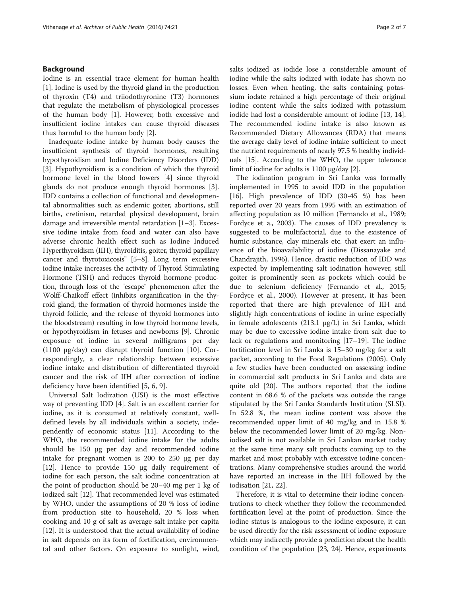# Background

Iodine is an essential trace element for human health [[1\]](#page-5-0). Iodine is used by the thyroid gland in the production of thyroxin (T4) and triiodothyronine (T3) hormones that regulate the metabolism of physiological processes of the human body [\[1](#page-5-0)]. However, both excessive and insufficient iodine intakes can cause thyroid diseases thus harmful to the human body [\[2\]](#page-5-0).

Inadequate iodine intake by human body causes the insufficient synthesis of thyroid hormones, resulting hypothyroidism and Iodine Deficiency Disorders (IDD) [[3\]](#page-5-0). Hypothyroidism is a condition of which the thyroid hormone level in the blood lowers [[4\]](#page-5-0) since thyroid glands do not produce enough thyroid hormones [\[3](#page-5-0)]. IDD contains a collection of functional and developmental abnormalities such as endemic goiter, abortions, still births, cretinism, retarded physical development, brain damage and irreversible mental retardation [[1](#page-5-0)–[3\]](#page-5-0). Excessive iodine intake from food and water can also have adverse chronic health effect such as Iodine Induced Hyperthyroidism (IIH), thyroiditis, goiter, thyroid papillary cancer and thyrotoxicosis" [[5](#page-6-0)–[8](#page-6-0)]. Long term excessive iodine intake increases the activity of Thyroid Stimulating Hormone (TSH) and reduces thyroid hormone production, through loss of the "escape" phenomenon after the Wolff-Chaikoff effect (inhibits organification in the thyroid gland, the formation of thyroid hormones inside the thyroid follicle, and the release of thyroid hormones into the bloodstream) resulting in low thyroid hormone levels, or hypothyroidism in fetuses and newborns [\[9\]](#page-6-0). Chronic exposure of iodine in several milligrams per day (1100 μg/day) can disrupt thyroid function [\[10](#page-6-0)]. Correspondingly, a clear relationship between excessive iodine intake and distribution of differentiated thyroid cancer and the risk of IIH after correction of iodine deficiency have been identified [[5](#page-6-0), [6](#page-6-0), [9](#page-6-0)].

Universal Salt Iodization (USI) is the most effective way of preventing IDD [[4\]](#page-5-0). Salt is an excellent carrier for iodine, as it is consumed at relatively constant, welldefined levels by all individuals within a society, independently of economic status [[11](#page-6-0)]. According to the WHO, the recommended iodine intake for the adults should be 150 μg per day and recommended iodine intake for pregnant women is 200 to 250 μg per day [[12\]](#page-6-0). Hence to provide 150 μg daily requirement of iodine for each person, the salt iodine concentration at the point of production should be 20–40 mg per 1 kg of iodized salt [\[12](#page-6-0)]. That recommended level was estimated by WHO, under the assumptions of 20 % loss of iodine from production site to household, 20 % loss when cooking and 10 g of salt as average salt intake per capita [[12\]](#page-6-0). It is understood that the actual availability of iodine in salt depends on its form of fortification, environmental and other factors. On exposure to sunlight, wind,

salts iodized as iodide lose a considerable amount of iodine while the salts iodized with iodate has shown no losses. Even when heating, the salts containing potassium iodate retained a high percentage of their original iodine content while the salts iodized with potassium iodide had lost a considerable amount of iodine [\[13](#page-6-0), [14](#page-6-0)]. The recommended iodine intake is also known as Recommended Dietary Allowances (RDA) that means the average daily level of iodine intake sufficient to meet the nutrient requirements of nearly 97.5 % healthy individuals [\[15\]](#page-6-0). According to the WHO, the upper tolerance limit of iodine for adults is 1100 μg/day [\[2\]](#page-5-0).

The iodination program in Sri Lanka was formally implemented in 1995 to avoid IDD in the population [[16\]](#page-6-0). High prevalence of IDD (30-45 %) has been reported over 20 years from 1995 with an estimation of affecting population as 10 million (Fernando et al., 1989; Fordyce et a., 2003). The causes of IDD prevalency is suggested to be multifactorial, due to the existence of humic substance, clay minerals etc. that exert an influence of the bioavailability of iodine (Dissanayake and Chandrajith, 1996). Hence, drastic reduction of IDD was expected by implementing salt iodination however, still goiter is prominently seen as pockets which could be due to selenium deficiency (Fernando et al., 2015; Fordyce et al., 2000). However at present, it has been reported that there are high prevalence of IIH and slightly high concentrations of iodine in urine especially in female adolescents (213.1 μg/L) in Sri Lanka, which may be due to excessive iodine intake from salt due to lack or regulations and monitoring [\[17](#page-6-0)–[19](#page-6-0)]. The iodine fortification level in Sri Lanka is 15–30 mg/kg for a salt packet, according to the Food Regulations (2005). Only a few studies have been conducted on assessing iodine in commercial salt products in Sri Lanka and data are quite old [[20\]](#page-6-0). The authors reported that the iodine content in 68.6 % of the packets was outside the range stipulated by the Sri Lanka Standards Institution (SLSI). In 52.8 %, the mean iodine content was above the recommended upper limit of 40 mg/kg and in 15.8 % below the recommended lower limit of 20 mg/kg. Noniodised salt is not available in Sri Lankan market today at the same time many salt products coming up to the market and most probably with excessive iodine concentrations. Many comprehensive studies around the world have reported an increase in the IIH followed by the iodisation [[21, 22](#page-6-0)].

Therefore, it is vital to determine their iodine concentrations to check whether they follow the recommended fortification level at the point of production. Since the iodine status is analogous to the iodine exposure, it can be used directly for the risk assessment of iodine exposure which may indirectly provide a prediction about the health condition of the population [\[23, 24](#page-6-0)]. Hence, experiments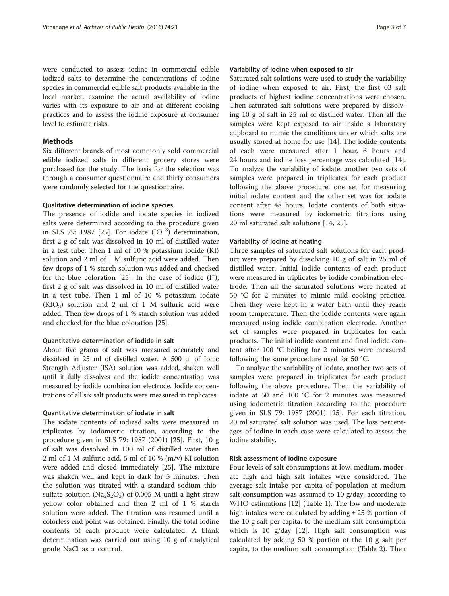were conducted to assess iodine in commercial edible iodized salts to determine the concentrations of iodine species in commercial edible salt products available in the local market, examine the actual availability of iodine varies with its exposure to air and at different cooking practices and to assess the iodine exposure at consumer level to estimate risks.

# **Methods**

Six different brands of most commonly sold commercial edible iodized salts in different grocery stores were purchased for the study. The basis for the selection was through a consumer questionnaire and thirty consumers were randomly selected for the questionnaire.

# Qualitative determination of iodine species

The presence of iodide and iodate species in iodized salts were determined according to the procedure given in SLS 79: 1987 [\[25](#page-6-0)]. For iodate  $(IO^{-3})$  determination, first 2 g of salt was dissolved in 10 ml of distilled water in a test tube. Then 1 ml of 10 % potassium iodide (KI) solution and 2 ml of 1 M sulfuric acid were added. Then few drops of 1 % starch solution was added and checked for the blue coloration [\[25\]](#page-6-0). In the case of iodide (I<sup>−</sup> ), first 2 g of salt was dissolved in 10 ml of distilled water in a test tube. Then 1 ml of 10 % potassium iodate  $(KIO<sub>3</sub>)$  solution and 2 ml of 1 M sulfuric acid were added. Then few drops of 1 % starch solution was added and checked for the blue coloration [\[25](#page-6-0)].

## Quantitative determination of iodide in salt

About five grams of salt was measured accurately and dissolved in 25 ml of distilled water. A 500 μl of Ionic Strength Adjuster (ISA) solution was added, shaken well until it fully dissolves and the iodide concentration was measured by iodide combination electrode. Iodide concentrations of all six salt products were measured in triplicates.

### Quantitative determination of iodate in salt

The iodate contents of iodized salts were measured in triplicates by iodometric titration, according to the procedure given in SLS 79: 1987 (2001) [\[25](#page-6-0)]. First, 10 g of salt was dissolved in 100 ml of distilled water then 2 ml of 1 M sulfuric acid, 5 ml of 10 % (m/v) KI solution were added and closed immediately [[25\]](#page-6-0). The mixture was shaken well and kept in dark for 5 minutes. Then the solution was titrated with a standard sodium thiosulfate solution ( $Na<sub>2</sub>S<sub>2</sub>O<sub>3</sub>$ ) of 0.005 M until a light straw yellow color obtained and then 2 ml of 1 % starch solution were added. The titration was resumed until a colorless end point was obtained. Finally, the total iodine contents of each product were calculated. A blank determination was carried out using 10 g of analytical grade NaCl as a control.

#### Variability of iodine when exposed to air

Saturated salt solutions were used to study the variability of iodine when exposed to air. First, the first 03 salt products of highest iodine concentrations were chosen. Then saturated salt solutions were prepared by dissolving 10 g of salt in 25 ml of distilled water. Then all the samples were kept exposed to air inside a laboratory cupboard to mimic the conditions under which salts are usually stored at home for use [\[14\]](#page-6-0). The iodide contents of each were measured after 1 hour, 6 hours and 24 hours and iodine loss percentage was calculated [\[14](#page-6-0)]. To analyze the variability of iodate, another two sets of samples were prepared in triplicates for each product following the above procedure, one set for measuring initial iodate content and the other set was for iodate content after 48 hours. Iodate contents of both situations were measured by iodometric titrations using 20 ml saturated salt solutions [\[14](#page-6-0), [25](#page-6-0)].

#### Variability of iodine at heating

Three samples of saturated salt solutions for each product were prepared by dissolving 10 g of salt in 25 ml of distilled water. Initial iodide contents of each product were measured in triplicates by iodide combination electrode. Then all the saturated solutions were heated at 50 °C for 2 minutes to mimic mild cooking practice. Then they were kept in a water bath until they reach room temperature. Then the iodide contents were again measured using iodide combination electrode. Another set of samples were prepared in triplicates for each products. The initial iodide content and final iodide content after 100 °C boiling for 2 minutes were measured following the same procedure used for 50 °C.

To analyze the variability of iodate, another two sets of samples were prepared in triplicates for each product following the above procedure. Then the variability of iodate at 50 and 100 °C for 2 minutes was measured using iodometric titration according to the procedure given in SLS 79: 1987 (2001) [[25](#page-6-0)]. For each titration, 20 ml saturated salt solution was used. The loss percentages of iodine in each case were calculated to assess the iodine stability.

#### Risk assessment of iodine exposure

Four levels of salt consumptions at low, medium, moderate high and high salt intakes were considered. The average salt intake per capita of population at medium salt consumption was assumed to 10 g/day, according to WHO estimations [\[12\]](#page-6-0) (Table [1\)](#page-3-0). The low and moderate high intakes were calculated by adding  $\pm 25$  % portion of the 10 g salt per capita, to the medium salt consumption which is 10 g/day [[12](#page-6-0)]. High salt consumption was calculated by adding 50 % portion of the 10 g salt per capita, to the medium salt consumption (Table [2](#page-3-0)). Then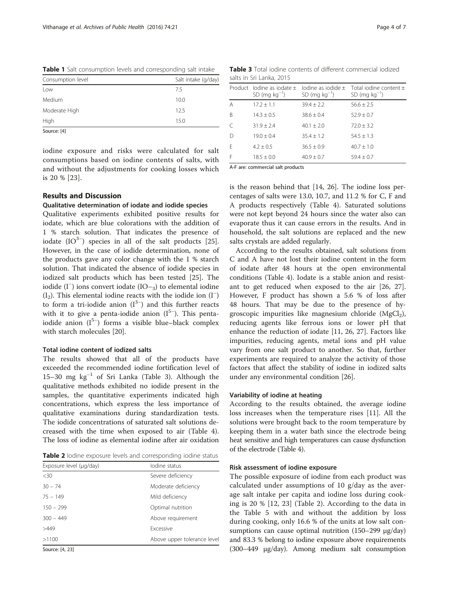<span id="page-3-0"></span>

| Table 1 Salt consumption levels and corresponding salt intake |
|---------------------------------------------------------------|
|---------------------------------------------------------------|

| Consumption level | Salt intake (g/day) |  |  |
|-------------------|---------------------|--|--|
| Low               | 75                  |  |  |
| Medium            | 10.0                |  |  |
| Moderate High     | 12.5                |  |  |
| High              | 15.0                |  |  |
| Source: [4]       |                     |  |  |

iodine exposure and risks were calculated for salt consumptions based on iodine contents of salts, with and without the adjustments for cooking losses which is 20 % [[23](#page-6-0)].

# Results and Discussion

# Qualitative determination of iodate and iodide species

Qualitative experiments exhibited positive results for iodate, which are blue colorations with the addition of 1 % starch solution. That indicates the presence of iodate  $(IO<sup>3−</sup>)$  species in all of the salt products [\[25](#page-6-0)]. However, in the case of iodide determination, none of the products gave any color change with the 1 % starch solution. That indicated the absence of iodide species in iodized salt products which has been tested [\[25](#page-6-0)]. The iodide (I<sup>−</sup> ) ions convert iodate (IO−3) to elemental iodine  $(I_2)$ . This elemental iodine reacts with the iodide ion  $(I^-)$ to form a tri-iodide anion  $(I^{3-})$  and this further reacts with it to give a penta-iodide anion  $(I^{5-})$ . This pentaiodide anion  $(I^{5-})$  forms a visible blue–black complex with starch molecules [\[20\]](#page-6-0).

## Total iodine content of iodized salts

The results showed that all of the products have exceeded the recommended iodine fortification level of 15–30 mg kg−<sup>1</sup> of Sri Lanka (Table 3). Although the qualitative methods exhibited no iodide present in the samples, the quantitative experiments indicated high concentrations, which express the less importance of qualitative examinations during standardization tests. The iodide concentrations of saturated salt solutions decreased with the time when exposed to air (Table [4](#page-4-0)). The loss of iodine as elemental iodine after air oxidation

Table 2 lodine exposure levels and corresponding iodine status

| Exposure level (µg/day)<br>lodine status |                             |
|------------------------------------------|-----------------------------|
| $<$ 30                                   | Severe deficiency           |
| $30 - 74$                                | Moderate deficiency         |
| $75 - 149$                               | Mild deficiency             |
| $150 - 299$                              | Optimal nutrition           |
| $300 - 449$                              | Above requirement           |
| >449                                     | <b>Excessive</b>            |
| >1100                                    | Above upper tolerance level |
| $C_{\text{out}}$ $A$ $21$                |                             |

Source: [\[4,](#page-5-0) [23](#page-6-0)]

Table 3 Total iodine contents of different commercial iodized salts in Sri Lanka, 2015

|   | Product lodine as iodate $\pm$<br>SD (mg $kg^{-1}$ ) | lodine as iodide $+$<br>SD (mg $kg^{-1}$ ) | Total iodine content $\pm$<br>SD (mg $kg^{-1}$ ) |
|---|------------------------------------------------------|--------------------------------------------|--------------------------------------------------|
| A | $17.2 \pm 1.1$                                       | $39.4 \pm 2.2$                             | $56.6 \pm 2.5$                                   |
| B | $14.3 \pm 0.5$                                       | $38.6 \pm 0.4$                             | $52.9 \pm 0.7$                                   |
| C | $31.9 \pm 2.4$                                       | $40.1 + 2.0$                               | $72.0 \pm 3.2$                                   |
| D | $19.0 \pm 0.4$                                       | $35.4 + 1.2$                               | $54.5 + 1.3$                                     |
| F | $4.2 \pm 0.5$                                        | $36.5 \pm 0.9$                             | $40.7 + 1.0$                                     |
| F | $18.5 \pm 0.0$                                       | $40.9 \pm 0.7$                             | $59.4 \pm 0.7$                                   |
|   |                                                      |                                            |                                                  |

A-F are: commercial salt products

is the reason behind that [\[14, 26\]](#page-6-0). The iodine loss percentages of salts were 13.0, 10.7, and 11.2 % for C, F and A products respectively (Table [4\)](#page-4-0). Saturated solutions were not kept beyond 24 hours since the water also can evaporate thus it can cause errors in the results. And in household, the salt solutions are replaced and the new salts crystals are added regularly.

According to the results obtained, salt solutions from C and A have not lost their iodine content in the form of iodate after 48 hours at the open environmental conditions (Table [4](#page-4-0)). Iodate is a stable anion and resistant to get reduced when exposed to the air [\[26](#page-6-0), [27](#page-6-0)]. However, F product has shown a 5.6 % of loss after 48 hours. That may be due to the presence of hygroscopic impurities like magnesium chloride  $(MgCl<sub>2</sub>)$ , reducing agents like ferrous ions or lower pH that enhance the reduction of iodate [[11, 26, 27\]](#page-6-0). Factors like impurities, reducing agents, metal ions and pH value vary from one salt product to another. So that, further experiments are required to analyze the activity of those factors that affect the stability of iodine in iodized salts under any environmental condition [\[26\]](#page-6-0).

#### Variability of iodine at heating

According to the results obtained, the average iodine loss increases when the temperature rises [[11](#page-6-0)]. All the solutions were brought back to the room temperature by keeping them in a water bath since the electrode being heat sensitive and high temperatures can cause dysfunction of the electrode (Table [4\)](#page-4-0).

## Risk assessment of iodine exposure

The possible exposure of iodine from each product was calculated under assumptions of 10 g/day as the average salt intake per capita and iodine loss during cooking is 20 % [\[12](#page-6-0), [23](#page-6-0)] (Table 2). According to the data in the Table [5](#page-4-0) with and without the addition by loss during cooking, only 16.6 % of the units at low salt consumptions can cause optimal nutrition (150–299 μg/day) and 83.3 % belong to iodine exposure above requirements (300–449 μg/day). Among medium salt consumption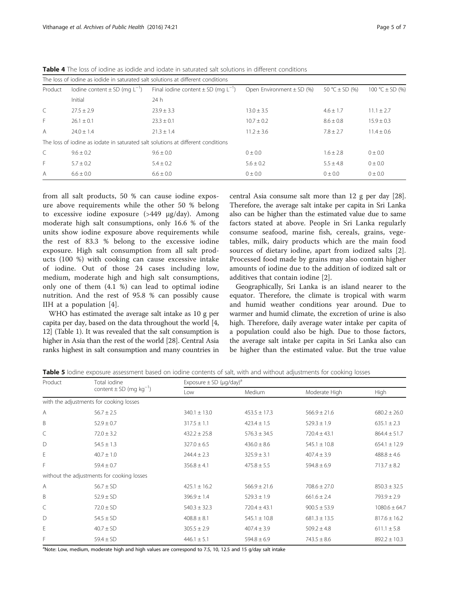| The loss of jodine as jodide in saturated salt solutions at different conditions |                                                                                  |                                              |                               |                    |                     |
|----------------------------------------------------------------------------------|----------------------------------------------------------------------------------|----------------------------------------------|-------------------------------|--------------------|---------------------|
| Product                                                                          | lodine content $\pm$ SD (mg $L^{-1}$ )                                           | Final iodine content $\pm$ SD (mg $L^{-1}$ ) | Open Environment $\pm$ SD (%) | 50 °C $\pm$ SD (%) | 100 °C $\pm$ SD (%) |
|                                                                                  | Initial                                                                          | 24 h                                         |                               |                    |                     |
| $\mathcal{C}$                                                                    | $27.5 + 2.9$                                                                     | $23.9 + 3.3$                                 | $13.0 \pm 3.5$                | $4.6 + 1.7$        | $11.1 + 2.7$        |
| F                                                                                | $26.1 + 0.1$                                                                     | $23.3 + 0.1$                                 | $10.7 \pm 0.2$                | $8.6 + 0.8$        | $15.9 + 0.3$        |
| A                                                                                | $74.0 + 1.4$                                                                     | $21.3 + 1.4$                                 | $11.2 + 3.6$                  | $7.8 + 2.7$        | $11.4 + 0.6$        |
|                                                                                  | The loss of jodine as jodate in saturated salt solutions at different conditions |                                              |                               |                    |                     |
|                                                                                  | $9.6 + 0.2$                                                                      | $9.6 + 0.0$                                  | $0 + 0.0$                     | $1.6 + 2.8$        | $0 + 0.0$           |
| F                                                                                | $5.7 + 0.2$                                                                      | $5.4 + 0.2$                                  | $5.6 \pm 0.2$                 | $5.5 + 4.8$        | $0 + 0.0$           |
| A                                                                                | $6.6 + 0.0$                                                                      | $6.6 + 0.0$                                  | $0 + 0.0$                     | $0 + 0.0$          | $0 + 0.0$           |

<span id="page-4-0"></span>Table 4 The loss of iodine as iodide and iodate in saturated salt solutions in different conditions

from all salt products, 50 % can cause iodine exposure above requirements while the other 50 % belong to excessive iodine exposure (>449 μg/day). Among moderate high salt consumptions, only 16.6 % of the units show iodine exposure above requirements while the rest of 83.3 % belong to the excessive iodine exposure. High salt consumption from all salt products (100 %) with cooking can cause excessive intake of iodine. Out of those 24 cases including low, medium, moderate high and high salt consumptions, only one of them (4.1 %) can lead to optimal iodine nutrition. And the rest of 95.8 % can possibly cause IIH at a population [\[4](#page-5-0)].

WHO has estimated the average salt intake as 10 g per capita per day, based on the data throughout the world [[4](#page-5-0), [12](#page-6-0)] (Table [1](#page-3-0)). It was revealed that the salt consumption is higher in Asia than the rest of the world [\[28\]](#page-6-0). Central Asia ranks highest in salt consumption and many countries in

central Asia consume salt more than 12 g per day [[28](#page-6-0)]. Therefore, the average salt intake per capita in Sri Lanka also can be higher than the estimated value due to same factors stated at above. People in Sri Lanka regularly consume seafood, marine fish, cereals, grains, vegetables, milk, dairy products which are the main food sources of dietary iodine, apart from iodized salts [\[2](#page-5-0)]. Processed food made by grains may also contain higher amounts of iodine due to the addition of iodized salt or additives that contain iodine [[2\]](#page-5-0).

Geographically, Sri Lanka is an island nearer to the equator. Therefore, the climate is tropical with warm and humid weather conditions year around. Due to warmer and humid climate, the excretion of urine is also high. Therefore, daily average water intake per capita of a population could also be high. Due to those factors, the average salt intake per capita in Sri Lanka also can be higher than the estimated value. But the true value

| Table 5 lodine exposure assessment based on iodine contents of salt, with and without adjustments for cooking losses |  |  |
|----------------------------------------------------------------------------------------------------------------------|--|--|
|----------------------------------------------------------------------------------------------------------------------|--|--|

| Product | Total iodine<br>content $\pm$ SD (mg kg <sup>-1</sup> ) |                  | Exposure $\pm$ SD ( $\mu$ g/day) <sup>a</sup> |                  |                   |  |
|---------|---------------------------------------------------------|------------------|-----------------------------------------------|------------------|-------------------|--|
|         |                                                         | Low              | Medium                                        | Moderate High    | High              |  |
|         | with the adjustments for cooking losses                 |                  |                                               |                  |                   |  |
| Α       | $56.7 \pm 2.5$                                          | $340.1 \pm 13.0$ | $453.5 \pm 17.3$                              | $566.9 \pm 21.6$ | $680.2 \pm 26.0$  |  |
| B       | $52.9 \pm 0.7$                                          | $317.5 \pm 1.1$  | $423.4 \pm 1.5$                               | $529.3 \pm 1.9$  | $635.1 \pm 2.3$   |  |
| C       | $72.0 \pm 3.2$                                          | $432.2 \pm 25.8$ | $576.3 \pm 34.5$                              | $720.4 \pm 43.1$ | $864.4 \pm 51.7$  |  |
| D       | $54.5 \pm 1.3$                                          | $327.0 \pm 6.5$  | $436.0 \pm 8.6$                               | $545.1 \pm 10.8$ | $654.1 \pm 12.9$  |  |
| Е       | $40.7 \pm 1.0$                                          | $244.4 \pm 2.3$  | $325.9 \pm 3.1$                               | $407.4 \pm 3.9$  | $488.8 \pm 4.6$   |  |
| F       | $59.4 \pm 0.7$                                          | $356.8 \pm 4.1$  | $475.8 \pm 5.5$                               | $594.8 \pm 6.9$  | $713.7 \pm 8.2$   |  |
|         | without the adjustments for cooking losses              |                  |                                               |                  |                   |  |
| Α       | $56.7 \pm SD$                                           | $425.1 \pm 16.2$ | $566.9 \pm 21.6$                              | $708.6 \pm 27.0$ | $850.3 \pm 32.5$  |  |
| B       | $52.9 \pm SD$                                           | $396.9 \pm 1.4$  | $529.3 \pm 1.9$                               | $661.6 \pm 2.4$  | $793.9 \pm 2.9$   |  |
| C       | $72.0 \pm SD$                                           | $540.3 \pm 32.3$ | $720.4 \pm 43.1$                              | $900.5 \pm 53.9$ | $1080.6 \pm 64.7$ |  |
| D       | $54.5 \pm SD$                                           | $408.8 \pm 8.1$  | $545.1 \pm 10.8$                              | $681.3 \pm 13.5$ | $817.6 \pm 16.2$  |  |
| Ε       | $40.7 \pm SD$                                           | $305.5 \pm 2.9$  | $407.4 \pm 3.9$                               | $509.2 \pm 4.8$  | $611.1 \pm 5.8$   |  |
| F       | $59.4 \pm SD$                                           | $446.1 \pm 5.1$  | $594.8 \pm 6.9$                               | $743.5 \pm 8.6$  | $892.2 \pm 10.3$  |  |

<sup>a</sup>Note: Low, medium, moderate high and high values are correspond to 7.5, 10, 12.5 and 15 g/day salt intake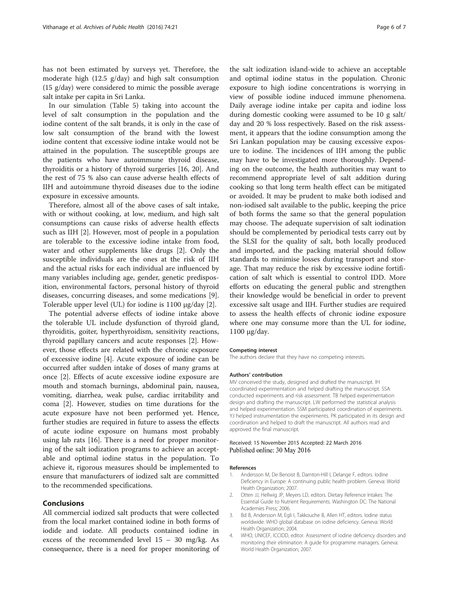<span id="page-5-0"></span>has not been estimated by surveys yet. Therefore, the moderate high (12.5 g/day) and high salt consumption (15 g/day) were considered to mimic the possible average salt intake per capita in Sri Lanka.

In our simulation (Table [5\)](#page-4-0) taking into account the level of salt consumption in the population and the iodine content of the salt brands, it is only in the case of low salt consumption of the brand with the lowest iodine content that excessive iodine intake would not be attained in the population. The susceptible groups are the patients who have autoimmune thyroid disease, thyroiditis or a history of thyroid surgeries [\[16](#page-6-0), [20](#page-6-0)]. And the rest of 75 % also can cause adverse health effects of IIH and autoimmune thyroid diseases due to the iodine exposure in excessive amounts.

Therefore, almost all of the above cases of salt intake, with or without cooking, at low, medium, and high salt consumptions can cause risks of adverse health effects such as IIH [2]. However, most of people in a population are tolerable to the excessive iodine intake from food, water and other supplements like drugs [2]. Only the susceptible individuals are the ones at the risk of IIH and the actual risks for each individual are influenced by many variables including age, gender, genetic predisposition, environmental factors, personal history of thyroid diseases, concurring diseases, and some medications [\[9](#page-6-0)]. Tolerable upper level (UL) for iodine is 1100 μg/day [2].

The potential adverse effects of iodine intake above the tolerable UL include dysfunction of thyroid gland, thyroiditis, goiter, hyperthyroidism, sensitivity reactions, thyroid papillary cancers and acute responses [2]. However, those effects are related with the chronic exposure of excessive iodine [4]. Acute exposure of iodine can be occurred after sudden intake of doses of many grams at once [2]. Effects of acute excessive iodine exposure are mouth and stomach burnings, abdominal pain, nausea, vomiting, diarrhea, weak pulse, cardiac irritability and coma [2]. However, studies on time durations for the acute exposure have not been performed yet. Hence, further studies are required in future to assess the effects of acute iodine exposure on humans most probably using lab rats [[16\]](#page-6-0). There is a need for proper monitoring of the salt iodization programs to achieve an acceptable and optimal iodine status in the population. To achieve it, rigorous measures should be implemented to ensure that manufacturers of iodized salt are committed to the recommended specifications.

#### Conclusions

All commercial iodized salt products that were collected from the local market contained iodine in both forms of iodide and iodate. All products contained iodine in excess of the recommended level 15 – 30 mg/kg. As consequence, there is a need for proper monitoring of

the salt iodization island-wide to achieve an acceptable and optimal iodine status in the population. Chronic exposure to high iodine concentrations is worrying in view of possible iodine induced immune phenomena. Daily average iodine intake per capita and iodine loss during domestic cooking were assumed to be 10 g salt/ day and 20 % loss respectively. Based on the risk assessment, it appears that the iodine consumption among the Sri Lankan population may be causing excessive exposure to iodine. The incidences of IIH among the public may have to be investigated more thoroughly. Depending on the outcome, the health authorities may want to recommend appropriate level of salt addition during cooking so that long term health effect can be mitigated or avoided. It may be prudent to make both iodised and non-iodised salt available to the public, keeping the price of both forms the same so that the general population may choose. The adequate supervision of salt iodination should be complemented by periodical tests carry out by the SLSI for the quality of salt, both locally produced and imported, and the packing material should follow standards to minimise losses during transport and storage. That may reduce the risk by excessive iodine fortification of salt which is essential to control IDD. More efforts on educating the general public and strengthen their knowledge would be beneficial in order to prevent excessive salt usage and IIH. Further studies are required to assess the health effects of chronic iodine exposure where one may consume more than the UL for iodine, 1100 μg/day.

#### Competing interest

The authors declare that they have no competing interests.

#### Authors' contribution

MV conceived the study, designed and drafted the manuscript. IH coordinated experimentation and helped drafting the manuscript. SSA conducted experiments and risk assessment. TB helped experimentation design and drafting the manuscript. LW performed the statistical analysis and helped experimentation. SSM participated coordination of experiments. YJ helped instrumentation the experiments. PK participated in its design and coordination and helped to draft the manuscript. All authors read and approved the final manuscript.

#### Received: 15 November 2015 Accepted: 22 March 2016 Published online: 30 May 2016

#### References

- 1. Andersson M, De Benoist B, Darnton-Hill I, Delange F, editors. Iodine Deficiency in Europe: A continuing public health problem. Geneva: World Health Organization; 2007.
- 2. Otten JJ, Hellwig JP, Meyers LD, editors. Dietary Reference Intakes: The Essential Guide to Nutrient Requirements. Washington DC: The National Academies Press; 2006.
- 3. Bd B, Andersson M, Egli I, Takkouche B, Allen HT, editors. Iodine status worldwide: WHO global database on iodine deficiency. Geneva: World Health Organization; 2004.
- 4. WHO, UNICEF, ICCIDD, editor. Assessment of iodine deficiency disorders and monitoring their elimination: A guide for programme managers. Geneva: World Health Organization; 2007.